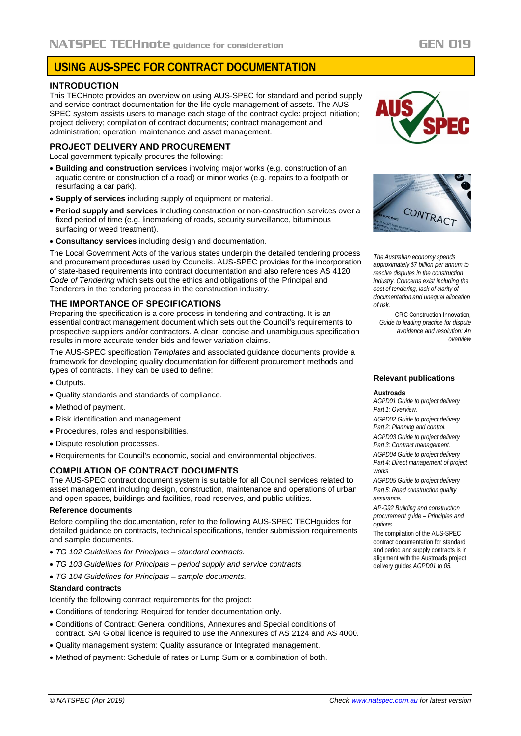# **USING AUS-SPEC FOR CONTRACT DOCUMENTATION**

#### **INTRODUCTION**

This TECHnote provides an overview on using AUS-SPEC for standard and period supply and service contract documentation for the life cycle management of assets. The AUS-SPEC system assists users to manage each stage of the contract cycle: project initiation; project delivery; compilation of contract documents; contract management and administration; operation; maintenance and asset management.

#### **PROJECT DELIVERY AND PROCUREMENT**

Local government typically procures the following:

- **Building and construction services** involving major works (e.g. construction of an aquatic centre or construction of a road) or minor works (e.g. repairs to a footpath or resurfacing a car park).
- **Supply of services** including supply of equipment or material.
- **Period supply and services** including construction or non-construction services over a fixed period of time (e.g. linemarking of roads, security surveillance, bituminous surfacing or weed treatment).
- **Consultancy services** including design and documentation.

The Local Government Acts of the various states underpin the detailed tendering process and procurement procedures used by Councils. AUS-SPEC provides for the incorporation of state-based requirements into contract documentation and also references AS 4120 *Code of Tendering* which sets out the ethics and obligations of the Principal and Tenderers in the tendering process in the construction industry.

## **THE IMPORTANCE OF SPECIFICATIONS**

Preparing the specification is a core process in tendering and contracting. It is an essential contract management document which sets out the Council's requirements to prospective suppliers and/or contractors. A clear, concise and unambiguous specification results in more accurate tender bids and fewer variation claims.

The AUS-SPEC specification *Templates* and associated guidance documents provide a framework for developing quality documentation for different procurement methods and types of contracts. They can be used to define:

- Outputs.
- Quality standards and standards of compliance.
- Method of payment.
- Risk identification and management.
- Procedures, roles and responsibilities.
- Dispute resolution processes.
- Requirements for Council's economic, social and environmental objectives.

#### **COMPILATION OF CONTRACT DOCUMENTS**

The AUS-SPEC contract document system is suitable for all Council services related to asset management including design, construction, maintenance and operations of urban and open spaces, buildings and facilities, road reserves, and public utilities.

#### **Reference documents**

Before compiling the documentation, refer to the following AUS-SPEC TECHguides for detailed guidance on contracts, technical specifications, tender submission requirements and sample documents.

- *TG 102 Guidelines for Principals – standard contracts.*
- *TG 103 Guidelines for Principals – period supply and service contracts.*
- *TG 104 Guidelines for Principals – sample documents.*

### **Standard contracts**

Identify the following contract requirements for the project:

- Conditions of tendering: Required for tender documentation only.
- Conditions of Contract: General conditions, Annexures and Special conditions of contract. SAI Global licence is required to use the Annexures of AS 2124 and AS 4000.
- Quality management system: Quality assurance or Integrated management.
- Method of payment: Schedule of rates or Lump Sum or a combination of both.





*The Australian economy spends approximately \$7 billion per annum to resolve disputes in the construction industry. Concerns exist including the cost of tendering, lack of clarity of documentation and unequal allocation of risk.*

*-* CRC Construction Innovation*, Guide to leading practice for dispute avoidance and resolution: An overview*

## **Relevant publications**

#### **Austroads**

*AGPD01 Guide to project delivery Part 1: Overview.*

*AGPD02 Guide to project delivery Part 2: Planning and control.*

*AGPD03 Guide to project delivery Part 3: Contract management.*

*AGPD04 Guide to project delivery* 

*Part 4: Direct management of project works.*

*AGPD05 Guide to project delivery Part 5: Road construction quality assurance.*

*AP-G92 Building and construction procurement guide – Principles and options*

The compilation of the AUS-SPEC contract documentation for standard and period and supply contracts is in alignment with the Austroads project delivery guides *AGPD01 to 05.*